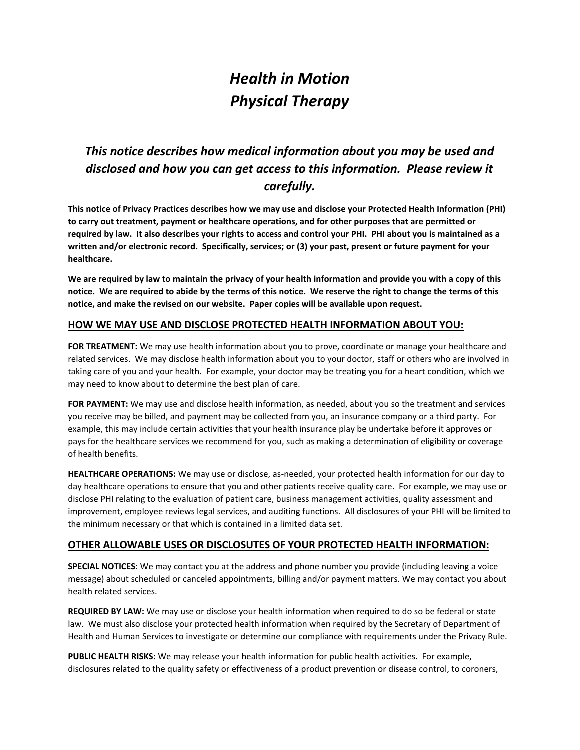# *Health in Motion Physical Therapy*

## *This notice describes how medical information about you may be used and disclosed and how you can get access to this information. Please review it carefully.*

**This notice of Privacy Practices describes how we may use and disclose your Protected Health Information (PHI) to carry out treatment, payment or healthcare operations, and for other purposes that are permitted or required by law. It also describes your rights to access and control your PHI. PHI about you is maintained as a written and/or electronic record. Specifically, services; or (3) your past, present or future payment for your healthcare.** 

**We are required by law to maintain the privacy of your health information and provide you with a copy of this notice. We are required to abide by the terms of this notice. We reserve the right to change the terms of this notice, and make the revised on our website. Paper copies will be available upon request.** 

### **HOW WE MAY USE AND DISCLOSE PROTECTED HEALTH INFORMATION ABOUT YOU:**

**FOR TREATMENT:** We may use health information about you to prove, coordinate or manage your healthcare and related services. We may disclose health information about you to your doctor, staff or others who are involved in taking care of you and your health. For example, your doctor may be treating you for a heart condition, which we may need to know about to determine the best plan of care.

**FOR PAYMENT:** We may use and disclose health information, as needed, about you so the treatment and services you receive may be billed, and payment may be collected from you, an insurance company or a third party. For example, this may include certain activities that your health insurance play be undertake before it approves or pays for the healthcare services we recommend for you, such as making a determination of eligibility or coverage of health benefits.

**HEALTHCARE OPERATIONS:** We may use or disclose, as-needed, your protected health information for our day to day healthcare operations to ensure that you and other patients receive quality care. For example, we may use or disclose PHI relating to the evaluation of patient care, business management activities, quality assessment and improvement, employee reviews legal services, and auditing functions. All disclosures of your PHI will be limited to the minimum necessary or that which is contained in a limited data set.

#### **OTHER ALLOWABLE USES OR DISCLOSUTES OF YOUR PROTECTED HEALTH INFORMATION:**

**SPECIAL NOTICES**: We may contact you at the address and phone number you provide (including leaving a voice message) about scheduled or canceled appointments, billing and/or payment matters. We may contact you about health related services.

**REQUIRED BY LAW:** We may use or disclose your health information when required to do so be federal or state law. We must also disclose your protected health information when required by the Secretary of Department of Health and Human Services to investigate or determine our compliance with requirements under the Privacy Rule.

**PUBLIC HEALTH RISKS:** We may release your health information for public health activities. For example, disclosures related to the quality safety or effectiveness of a product prevention or disease control, to coroners,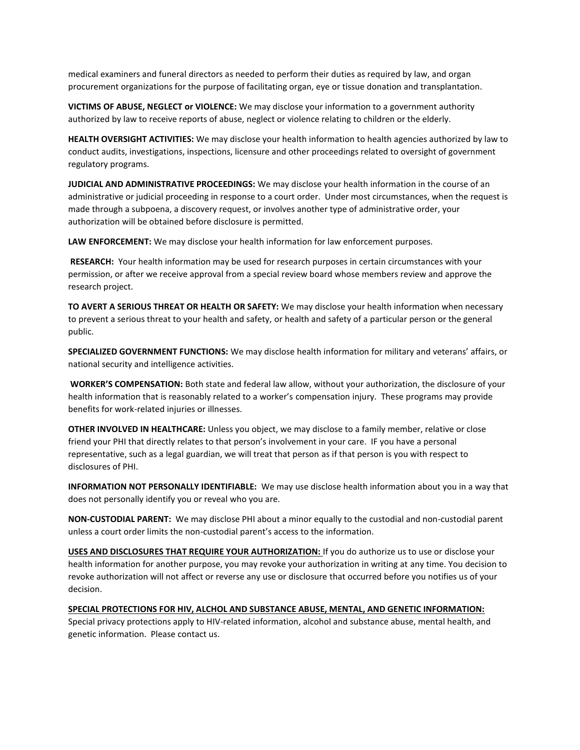medical examiners and funeral directors as needed to perform their duties as required by law, and organ procurement organizations for the purpose of facilitating organ, eye or tissue donation and transplantation.

**VICTIMS OF ABUSE, NEGLECT or VIOLENCE:** We may disclose your information to a government authority authorized by law to receive reports of abuse, neglect or violence relating to children or the elderly.

**HEALTH OVERSIGHT ACTIVITIES:** We may disclose your health information to health agencies authorized by law to conduct audits, investigations, inspections, licensure and other proceedings related to oversight of government regulatory programs.

**JUDICIAL AND ADMINISTRATIVE PROCEEDINGS:** We may disclose your health information in the course of an administrative or judicial proceeding in response to a court order. Under most circumstances, when the request is made through a subpoena, a discovery request, or involves another type of administrative order, your authorization will be obtained before disclosure is permitted.

**LAW ENFORCEMENT:** We may disclose your health information for law enforcement purposes.

**RESEARCH:** Your health information may be used for research purposes in certain circumstances with your permission, or after we receive approval from a special review board whose members review and approve the research project.

**TO AVERT A SERIOUS THREAT OR HEALTH OR SAFETY:** We may disclose your health information when necessary to prevent a serious threat to your health and safety, or health and safety of a particular person or the general public.

**SPECIALIZED GOVERNMENT FUNCTIONS:** We may disclose health information for military and veterans' affairs, or national security and intelligence activities.

**WORKER'S COMPENSATION:** Both state and federal law allow, without your authorization, the disclosure of your health information that is reasonably related to a worker's compensation injury. These programs may provide benefits for work-related injuries or illnesses.

**OTHER INVOLVED IN HEALTHCARE:** Unless you object, we may disclose to a family member, relative or close friend your PHI that directly relates to that person's involvement in your care. IF you have a personal representative, such as a legal guardian, we will treat that person as if that person is you with respect to disclosures of PHI.

**INFORMATION NOT PERSONALLY IDENTIFIABLE:** We may use disclose health information about you in a way that does not personally identify you or reveal who you are.

**NON-CUSTODIAL PARENT:** We may disclose PHI about a minor equally to the custodial and non-custodial parent unless a court order limits the non-custodial parent's access to the information.

**USES AND DISCLOSURES THAT REQUIRE YOUR AUTHORIZATION:** If you do authorize us to use or disclose your health information for another purpose, you may revoke your authorization in writing at any time. You decision to revoke authorization will not affect or reverse any use or disclosure that occurred before you notifies us of your decision.

**SPECIAL PROTECTIONS FOR HIV, ALCHOL AND SUBSTANCE ABUSE, MENTAL, AND GENETIC INFORMATION:**  Special privacy protections apply to HIV-related information, alcohol and substance abuse, mental health, and genetic information. Please contact us.